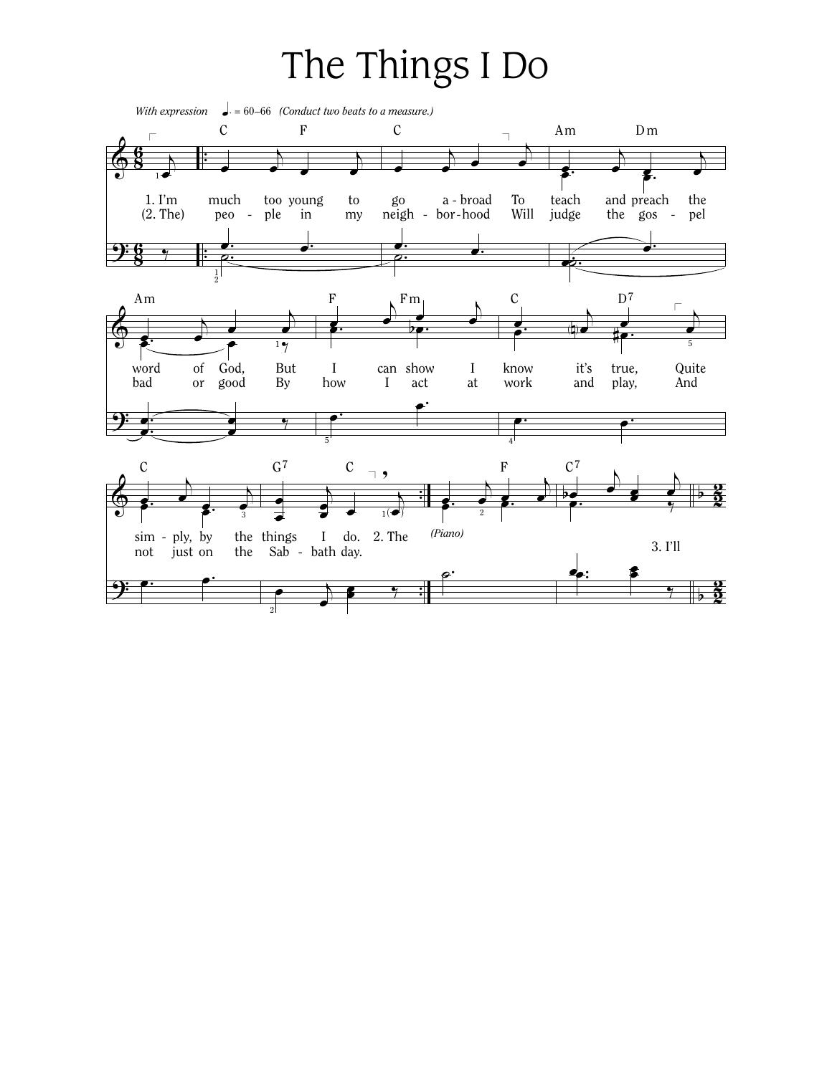## The Things I Do